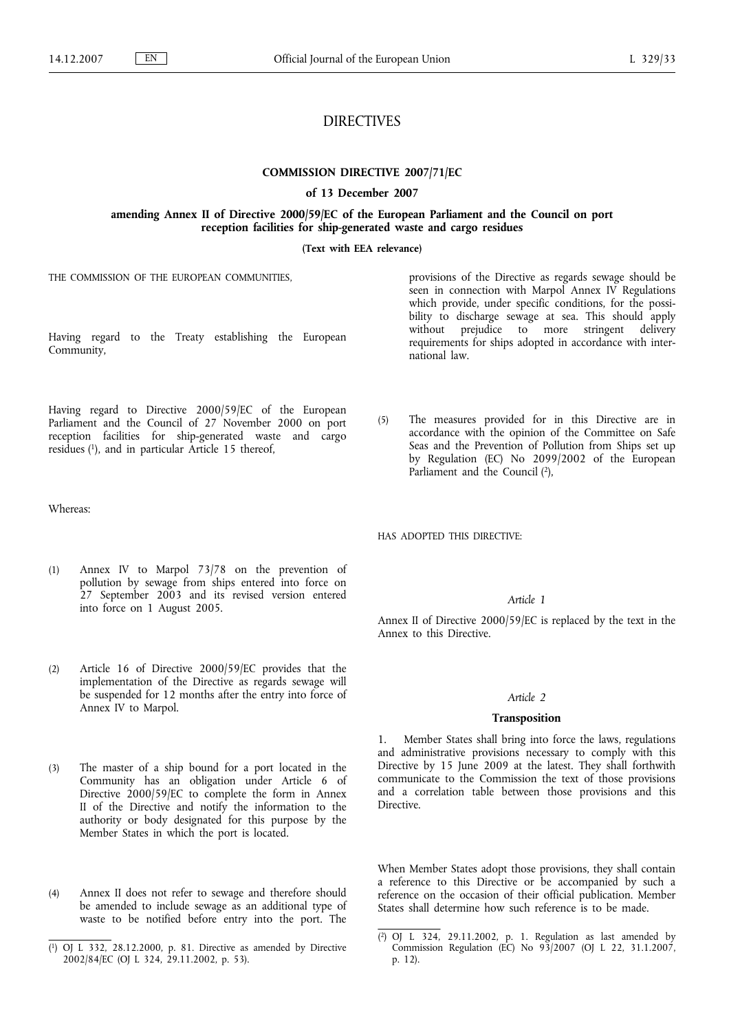# DIRECTIVES

**COMMISSION DIRECTIVE 2007/71/EC**

**of 13 December 2007**

**amending Annex II of Directive 2000/59/EC of the European Parliament and the Council on port reception facilities for ship-generated waste and cargo residues**

**(Text with EEA relevance)**

THE COMMISSION OF THE EUROPEAN COMMUNITIES,

Having regard to the Treaty establishing the European Community,

Having regard to Directive 2000/59/EC of the European Parliament and the Council of 27 November 2000 on port reception facilities for ship-generated waste and cargo residues (1), and in particular Article 15 thereof,

Whereas:

- (1) Annex IV to Marpol 73/78 on the prevention of pollution by sewage from ships entered into force on 27 September 2003 and its revised version entered into force on 1 August 2005.
- (2) Article 16 of Directive 2000/59/EC provides that the implementation of the Directive as regards sewage will be suspended for 12 months after the entry into force of Annex IV to Marpol.
- (3) The master of a ship bound for a port located in the Community has an obligation under Article 6 of Directive 2000/59/EC to complete the form in Annex II of the Directive and notify the information to the authority or body designated for this purpose by the Member States in which the port is located.
- (4) Annex II does not refer to sewage and therefore should be amended to include sewage as an additional type of waste to be notified before entry into the port. The

provisions of the Directive as regards sewage should be seen in connection with Marpol Annex IV Regulations which provide, under specific conditions, for the possibility to discharge sewage at sea. This should apply without prejudice to more stringent delivery requirements for ships adopted in accordance with international law.

(5) The measures provided for in this Directive are in accordance with the opinion of the Committee on Safe Seas and the Prevention of Pollution from Ships set up by Regulation (EC) No 2099/2002 of the European Parliament and the Council (2),

HAS ADOPTED THIS DIRECTIVE:

### *Article 1*

Annex II of Directive 2000/59/EC is replaced by the text in the Annex to this Directive.

#### *Article 2*

#### **Transposition**

1. Member States shall bring into force the laws, regulations and administrative provisions necessary to comply with this Directive by 15 June 2009 at the latest. They shall forthwith communicate to the Commission the text of those provisions and a correlation table between those provisions and this Directive.

When Member States adopt those provisions, they shall contain a reference to this Directive or be accompanied by such a reference on the occasion of their official publication. Member States shall determine how such reference is to be made.

<sup>(</sup> 1) OJ L 332, 28.12.2000, p. 81. Directive as amended by Directive 2002/84/EC (OJ L 324, 29.11.2002, p. 53).

<sup>(</sup> 2) OJ L 324, 29.11.2002, p. 1. Regulation as last amended by Commission Regulation (EC) No 93/2007 (OJ L 22, 31.1.2007, p. 12).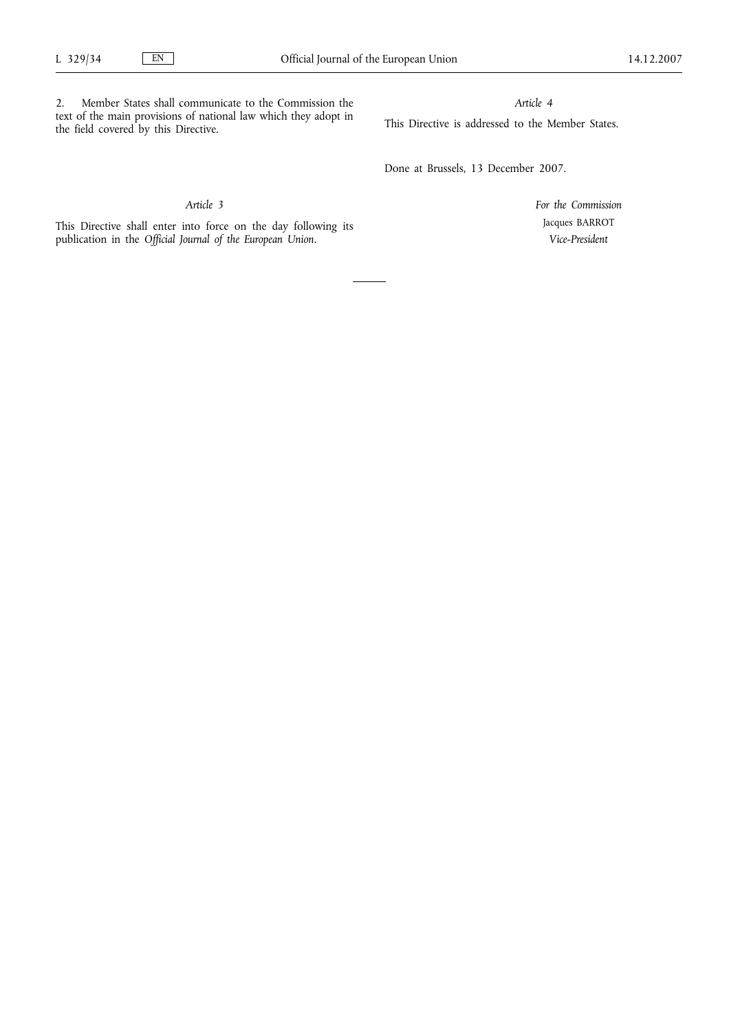2. Member States shall communicate to the Commission the text of the main provisions of national law which they adopt in the field covered by this Directive.

*Article 4*

This Directive is addressed to the Member States.

Done at Brussels, 13 December 2007.

*Article 3*

This Directive shall enter into force on the day following its publication in the *Official Journal of the European Union*.

*For the Commission* Jacques BARROT *Vice-President*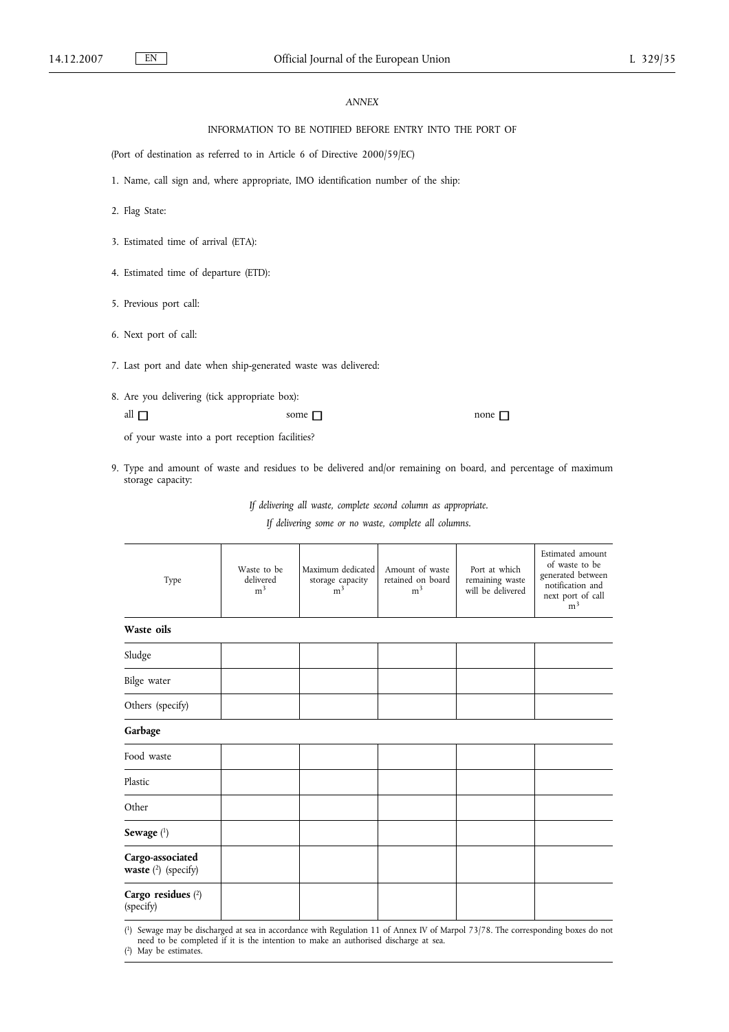### *ANNEX*

## INFORMATION TO BE NOTIFIED BEFORE ENTRY INTO THE PORT OF

(Port of destination as referred to in Article 6 of Directive 2000/59/EC)

- 1. Name, call sign and, where appropriate, IMO identification number of the ship:
- 2. Flag State:
- 3. Estimated time of arrival (ETA):
- 4. Estimated time of departure (ETD):
- 5. Previous port call:
- 6. Next port of call:
- 7. Last port and date when ship-generated waste was delivered:
- 8. Are you delivering (tick appropriate box):

all  $\Box$  some  $\Box$  none  $\Box$ 

of your waste into a port reception facilities?

9. Type and amount of waste and residues to be delivered and/or remaining on board, and percentage of maximum storage capacity:

*If delivering all waste, complete second column as appropriate.*

*If delivering some or no waste, complete all columns.*

| Type                                             | Waste to be<br>delivered<br>m <sup>3</sup> | Maximum dedicated<br>storage capacity<br>m <sup>3</sup> | Amount of waste<br>retained on board<br>m <sup>3</sup> | Port at which<br>remaining waste<br>will be delivered | Estimated amount<br>of waste to be<br>generated between<br>notification and<br>next port of call<br>m <sup>3</sup> |
|--------------------------------------------------|--------------------------------------------|---------------------------------------------------------|--------------------------------------------------------|-------------------------------------------------------|--------------------------------------------------------------------------------------------------------------------|
| Waste oils                                       |                                            |                                                         |                                                        |                                                       |                                                                                                                    |
| Sludge                                           |                                            |                                                         |                                                        |                                                       |                                                                                                                    |
| Bilge water                                      |                                            |                                                         |                                                        |                                                       |                                                                                                                    |
| Others (specify)                                 |                                            |                                                         |                                                        |                                                       |                                                                                                                    |
| Garbage                                          |                                            |                                                         |                                                        |                                                       |                                                                                                                    |
| Food waste                                       |                                            |                                                         |                                                        |                                                       |                                                                                                                    |
| Plastic                                          |                                            |                                                         |                                                        |                                                       |                                                                                                                    |
| Other                                            |                                            |                                                         |                                                        |                                                       |                                                                                                                    |
| Sewage $(^1)$                                    |                                            |                                                         |                                                        |                                                       |                                                                                                                    |
| Cargo-associated<br><b>waste</b> $(2)$ (specify) |                                            |                                                         |                                                        |                                                       |                                                                                                                    |
| Cargo residues (2)<br>(specify)                  |                                            |                                                         |                                                        |                                                       |                                                                                                                    |

( 1) Sewage may be discharged at sea in accordance with Regulation 11 of Annex IV of Marpol 73/78. The corresponding boxes do not need to be completed if it is the intention to make an authorised discharge at sea.

( 2) May be estimates.